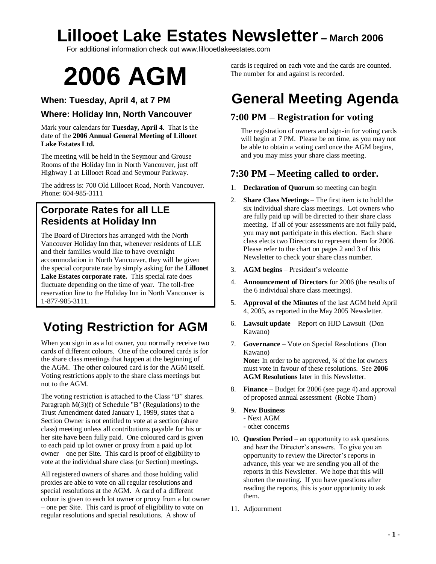For additional information check out www.lillooetlakeestates.com

# **2006 AGM**

### **When: Tuesday, April 4, at 7 PM**

### **Where: Holiday Inn, North Vancouver**

Mark your calendars for **Tuesday, April 4**. That is the date of the **2006 Annual General Meeting of Lillooet Lake Estates Ltd.**

The meeting will be held in the Seymour and Grouse Rooms of the Holiday Inn in North Vancouver, just off Highway 1 at Lillooet Road and Seymour Parkway.

The address is: 700 Old Lillooet Road, North Vancouver. Phone: 604-985-3111

### **Corporate Rates for all LLE Residents at Holiday Inn**

The Board of Directors has arranged with the North Vancouver Holiday Inn that, whenever residents of LLE and their families would like to have overnight accommodation in North Vancouver, they will be given the special corporate rate by simply asking for the **Lillooet Lake Estates corporate rate.** This special rate does fluctuate depending on the time of year. The toll-free reservation line to the Holiday Inn in North Vancouver is 1-877-985-3111.

### **Voting Restriction for AGM**

When you sign in as a lot owner, you normally receive two cards of different colours. One of the coloured cards is for the share class meetings that happen at the beginning of the AGM. The other coloured card is for the AGM itself. Voting restrictions apply to the share class meetings but not to the AGM.

The voting restriction is attached to the Class "B" shares. Paragraph M(3)(f) of Schedule "B" (Regulations) to the Trust Amendment dated January 1, 1999, states that a Section Owner is not entitled to vote at a section (share class) meeting unless all contributions payable for his or her site have been fully paid. One coloured card is given to each paid up lot owner or proxy from a paid up lot owner – one per Site. This card is proof of eligibility to vote at the individual share class (or Section) meetings.

All registered owners of shares and those holding valid proxies are able to vote on all regular resolutions and special resolutions at the AGM. A card of a different colour is given to each lot owner or proxy from a lot owner –one per Site. This card is proof of eligibility to vote on regular resolutions and special resolutions. A show of

cards is required on each vote and the cards are counted. The number for and against is recorded.

## **General Meeting Agenda**

### **7:00 PM –Registration for voting**

The registration of owners and sign-in for voting cards will begin at 7 PM. Please be on time, as you may not be able to obtain a voting card once the AGM begins, and you may miss your share class meeting.

### **7:30 PM –Meeting called to order.**

- 1. **Declaration of Quorum** so meeting can begin
- 2. **Share Class Meetings** –The first item is to hold the six individual share class meetings. Lot owners who are fully paid up will be directed to their share class meeting. If all of your assessments are not fully paid, you may **not** participate in this election. Each share class elects two Directors to represent them for 2006. Please refer to the chart on pages 2 and 3 of this Newsletter to check your share class number.
- 3. **AGM begins** President's welcome
- 4. **Announcement of Directors** for 2006 (the results of the 6 individual share class meetings).
- 5. **Approval of the Minutes** of the last AGM held April 4, 2005, as reported in the May 2005 Newsletter.
- 6. **Lawsuit update** –Report on HJD Lawsuit (Don Kawano)
- 7. **Governance** –Vote on Special Resolutions (Don Kawano) Note: In order to be approved,  $\frac{3}{4}$  of the lot owners must vote in favour of these resolutions. See **2006 AGM Resolutions** later in this Newsletter.
- 8. **Finance** –Budget for 2006 (see page 4) and approval of proposed annual assessment (Robie Thorn)
- 9. **New Business**
	- Next AGM
	- other concerns
- 10. **Question Period** an opportunity to ask questions and hear the Director's answers. To give you an opportunity to review the Director's reports in advance, this year we are sending you all of the reports in this Newsletter. We hope that this will shorten the meeting. If you have questions after reading the reports, this is your opportunity to ask them.
- 11. Adjournment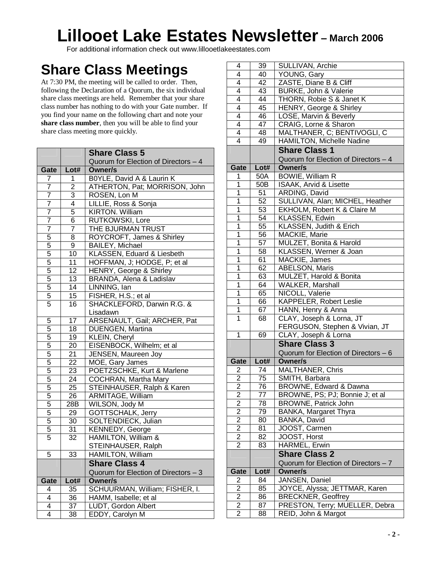For additional information check out www.lillooetlakeestates.com

## **Share Class Meetings**

At 7:30 PM, the meeting will be called to order. Then, following the Declaration of a Quorum, the six individual share class meetings are held. Remember that your share class number has nothing to do with your Gate number. If you find your name on the following chart and note your **share class number**, then you will be able to find your share class meeting more quickly.

|                |      | <b>Share Class 5</b>                 |  |
|----------------|------|--------------------------------------|--|
|                |      | Quorum for Election of Directors - 4 |  |
| Gate           | Lot# | <b>Owner/s</b>                       |  |
| 7              | 1    | B0YLE, David A & Laurin K            |  |
| 7              | 2    | ATHERTON, Pat; MORRISON, John        |  |
| 7              | 3    | ROSEN, Lon M                         |  |
| 7              | 4    | LILLIE, Ross & Sonja                 |  |
| $\overline{7}$ | 5    | <b>KIRTON. William</b>               |  |
| 7              | 6    | RUTKOWSKI, Lore                      |  |
| $\overline{7}$ | 7    | THE BJURMAN TRUST                    |  |
| 5              | 8    | ROYCROFT, James & Shirley            |  |
| 5              | 9    | <b>BAILEY, Michael</b>               |  |
| 5              | 10   | KLASSEN, Eduard & Liesbeth           |  |
| 5              | 11   | HOFFMAN, J; HODGE, P; et al          |  |
| 5              | 12   | <b>HENRY, George &amp; Shirley</b>   |  |
| 5              | 13   | BRANDA, Alena & Ladislav             |  |
| 5              | 14   | LINNING, Ian                         |  |
| 5              | 15   | FISHER, H.S.; et al                  |  |
| 5              | 16   | SHACKLEFORD, Darwin R.G. &           |  |
|                |      | Lisadawn                             |  |
| 5              | 17   | ARSENAULT, Gail; ARCHER, Pat         |  |
| 5              | 18   | DUENGEN, Martina                     |  |
| 5              | 19   | KLEIN, Cheryl                        |  |
| 5              | 20   | EISENBOCK, Wilhelm; et al            |  |
| 5              | 21   | <b>JENSEN, Maureen Joy</b>           |  |
| 5              | 22   | MOE, Gary James                      |  |
| 5              | 23   | POETZSCHKE, Kurt & Marlene           |  |
| 5              | 24   | COCHRAN, Martha Mary                 |  |
| 5              | 25   | STEINHAUSER, Ralph & Karen           |  |
| 5              | 26   | ARMITAGE, William                    |  |
| 5              | 28B  | WILSON, Jody M                       |  |
| 5              | 29   | GOTTSCHALK, Jerry                    |  |
| 5              | 30   | SOLTENDIECK, Julian                  |  |
| 5              | 31   | <b>KENNEDY, George</b>               |  |
| $\overline{5}$ | 32   | HAMILTON, William &                  |  |
|                |      | STEINHAUSER, Ralph                   |  |
| 5              | 33   | <b>HAMILTON, William</b>             |  |
|                |      | <b>Share Class 4</b>                 |  |
|                |      | Quorum for Election of Directors - 3 |  |
| Gate           | Lot# | <b>Owner/s</b>                       |  |
| 4              | 35   | SCHUURMAN, William; FISHER, I.       |  |
| 4              | 36   | HAMM, Isabelle; et al                |  |
| 4              | 37   | LUDT, Gordon Albert                  |  |
| 4              | 38   | EDDY, Carolyn M                      |  |

| 4                   | 39   | SULLIVAN, Archie                     |
|---------------------|------|--------------------------------------|
| 4                   | 40   | YOUNG, Gary                          |
| 4                   | 42   | ZASTE, Diane B & Cliff               |
| 4                   | 43   | BURKE, John & Valerie                |
| 4                   | 44   | THORN, Robie S & Janet K             |
| 4                   | 45   | HENRY, George & Shirley              |
| 4                   | 46   | LOSE, Marvin & Beverly               |
| 4                   | 47   | CRAIG, Lorne & Sharon                |
| $\overline{4}$      | 48   | MALTHANER, C; BENTIVOGLI, C          |
| 4                   | 49   | HAMILTON, Michelle Nadine            |
|                     |      | <b>Share Class 1</b>                 |
|                     |      | Quorum for Election of Directors - 4 |
| Gate                | Lot# | Owner/s                              |
| 1                   | 50A  | BOWIE, William R                     |
| 1                   | 50B  | ISAAK, Arvid & Lisette               |
| 1                   | 51   | ARDING, David                        |
| 1                   | 52   | SULLIVAN, Alan; MICHEL, Heather      |
| 1                   | 53   | EKHOLM, Robert K & Claire M          |
| 1                   | 54   | KLASSEN, Edwin                       |
| 1                   | 55   | KLASSEN, Judith & Erich              |
| $\overline{1}$      | 56   | MACKIE, Marie                        |
| 1                   | 57   | MULZET, Bonita & Harold              |
| 1                   | 58   | KLASSEN, Werner & Joan               |
| 1                   | 61   | MACKIE, James                        |
| 1                   | 62   | <b>ABELSON, Maris</b>                |
| 1                   | 63   | MULZET, Harold & Bonita              |
| 1                   | 64   | WALKER, Marshall                     |
| 1                   | 65   | NICOLL, Valerie                      |
| 1                   | 66   | KAPPELER, Robert Leslie              |
| 1                   | 67   | HANN, Henry & Anna                   |
| 1                   | 68   | CLAY, Joseph & Lorna, JT             |
|                     |      | FERGUSON, Stephen & Vivian, JT       |
| 1                   | 69   | CLAY, Joseph & Lorna                 |
|                     |      | <b>Share Class 3</b>                 |
|                     |      | Quorum for Election of Directors - 6 |
| Gate                | Lot# | <b>Owner/s</b>                       |
| 2                   | 74   | MALTHANER, Chris                     |
| $\overline{c}$      | 75   | SMITH, Barbara                       |
| 2                   | 76   | BROWNE, Edward & Dawna               |
| 2                   | 77   | BROWNE, PS; PJ; Bonnie J; et al      |
| 2                   | 78   | BROWNE, Patrick John                 |
| 2                   | 79   | BANKA, Margaret Thyra                |
| 2<br>2              | 80   | BANKA, David<br>JOOST, Carmen        |
|                     | 81   |                                      |
| 2<br>$\overline{2}$ | 82   | JOOST, Horst                         |
|                     | 83   | HARMEL, Erwin                        |
|                     |      | <b>Share Class 2</b>                 |
|                     |      | Quorum for Election of Directors - 7 |
| Gate                | Lot# | <b>Owner/s</b>                       |
| 2                   | 84   | JANSEN, Daniel                       |
| 2                   | 85   | JOYCE, Alyssa; JETTMAR, Karen        |
| 2                   | 86   | <b>BRECKNER, Geoffrey</b>            |
| 2<br>2              | 87   | PRESTON, Terry; MUELLER, Debra       |
|                     | 88   | REID, John & Margot                  |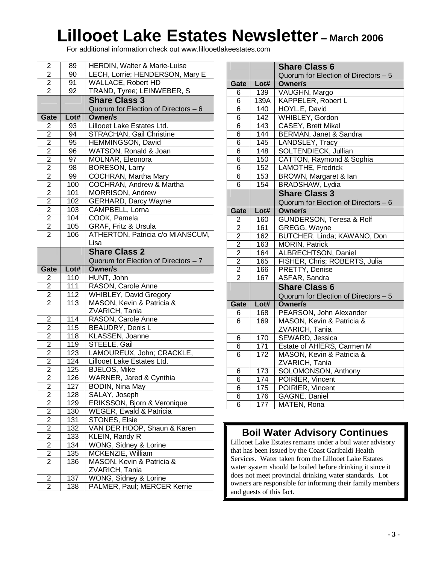For additional information check out www.lillooetlakeestates.com

| 2                       | 89         | HERDIN, Walter & Marie-Luise                         |  |
|-------------------------|------------|------------------------------------------------------|--|
| $\overline{2}$          | 90         | LECH, Lorrie; HENDERSON, Mary E                      |  |
| $\overline{2}$          | 91         | WALLACE, Robert HD                                   |  |
| $\overline{2}$          | 92         | TRAND, Tyree; LEINWEBER, S                           |  |
|                         |            | <b>Share Class 3</b>                                 |  |
|                         |            | Quorum for Election of Directors - 6                 |  |
| Gate                    | Lot#       | <b>Owner/s</b>                                       |  |
| 2                       | 93         | Lillooet Lake Estates Ltd.                           |  |
| 2                       | 94         | <b>STRACHAN, Gail Christine</b>                      |  |
| 2                       | 95         | HEMMINGSON, David                                    |  |
| $\overline{2}$          | 96         | WATSON, Ronald & Joan                                |  |
| $\overline{2}$          | 97         | MOLNAR, Eleonora                                     |  |
| $\overline{2}$          | 98         | <b>BORESON, Larry</b>                                |  |
| $\overline{2}$          | 99         | COCHRAN, Martha Mary                                 |  |
| $\overline{2}$          | 100        | COCHRAN, Andrew & Martha                             |  |
| $\overline{2}$          | 101        | MORRISON, Andrew                                     |  |
| $\overline{2}$          | 102        | <b>GERHARD, Darcy Wayne</b>                          |  |
| $\overline{2}$          | 103        | CAMPBELL, Lorna                                      |  |
| $\overline{2}$          | 104        | COOK, Pamela                                         |  |
| $\overline{2}$          | 105        | GRAF, Fritz & Ursula                                 |  |
| $\overline{2}$          | 106        | ATHERTON, Patricia c/o MIANSCUM,                     |  |
|                         |            | Lisa                                                 |  |
|                         |            |                                                      |  |
|                         |            | <b>Share Class 2</b>                                 |  |
|                         |            | Quorum for Election of Directors - 7                 |  |
| Gate                    | Lot#       | <b>Owner/s</b>                                       |  |
| 2                       | 110        | HUNT, John                                           |  |
|                         |            |                                                      |  |
| $\overline{2}$          | 111        | RASON, Carole Anne                                   |  |
| $\overline{2}$          | 112        | <b>WHIBLEY, David Gregory</b>                        |  |
| $\overline{2}$          | 113        | MASON, Kevin & Patricia &                            |  |
|                         |            | ZVARICH, Tania                                       |  |
| $\overline{2}$          | 114        | RASON, Carole Anne                                   |  |
| 2                       | 115        | BEAUDRY, Denis L                                     |  |
| $\overline{c}$          | 118        | <b>KLASSEN, Joanne</b>                               |  |
| $\overline{2}$          | 119        | STEELE, Gail                                         |  |
| 2                       | 123        | LAMOUREUX, John; CRACKLE,                            |  |
| $\overline{2}$          | 124        | Lillooet Lake Estates Ltd.                           |  |
| $\overline{2}$          | 125        | <b>BJELOS, Mike</b>                                  |  |
| $\overline{\mathbf{c}}$ | 126        | WARNER, Jared & Cynthia                              |  |
| $\overline{\mathbf{c}}$ | 127        | <b>BODIN, Nina May</b>                               |  |
| $\overline{\mathbf{c}}$ | 128        | SALAY, Joseph                                        |  |
| $\overline{2}$          | 129        | ERIKSSON, Bjorn & Veronique                          |  |
| $\overline{c}$          | 130        | <b>WEGER, Ewald &amp; Patricia</b>                   |  |
| $\overline{c}$          | 131        | STONES, Elsie                                        |  |
| $\overline{2}$          | 132        | VAN DER HOOP, Shaun & Karen                          |  |
| $\overline{2}$          | 133        | KLEIN, Randy R                                       |  |
| $\overline{2}$          | 134        | WONG, Sidney & Lorine                                |  |
| $\overline{c}$          | 135        | MCKENZIE, William                                    |  |
| $\overline{2}$          | 136        | MASON, Kevin & Patricia &                            |  |
|                         |            | ZVARICH, Tania                                       |  |
| 2<br>2                  | 137<br>138 | WONG, Sidney & Lorine<br>PALMER, Paul; MERCER Kerrie |  |

|                |      | <b>Share Class 6</b>                 |
|----------------|------|--------------------------------------|
|                |      | Quorum for Election of Directors - 5 |
| Gate           | Lot# | <b>Owner/s</b>                       |
| 6              | 139  | VAUGHN, Margo                        |
| 6              | 139A | KAPPELER, Robert L                   |
| 6              | 140  | HOYL.E, David                        |
| 6              | 142  | WHIBLEY, Gordon                      |
| 6              | 143  | CASEY, Brett Mikal                   |
| 6              | 144  | BERMAN, Janet & Sandra               |
| 6              | 145  | LANDSLEY, Tracy                      |
| 6              | 148  | SOLTENDIECK, Jullian                 |
| 6              | 150  | CATTON, Raymond & Sophia             |
| 6              | 152  | LAMOTHE, Fredrick                    |
| 6              | 153  | BROWN, Margaret & Ian                |
| 6              | 154  | BRADSHAW, Lydia                      |
|                |      | <b>Share Class 3</b>                 |
|                |      | Quorum for Election of Directors - 6 |
| Gate           | Lot# | <b>Owner/s</b>                       |
| 2              | 160  | <b>GUNDERSON, Teresa &amp; Rolf</b>  |
| $\overline{2}$ | 161  | GREGG, Wayne                         |
| $\overline{2}$ | 162  | BUTCHER, Linda; KAWANO, Don          |
| $\overline{2}$ | 163  | <b>MORIN, Patrick</b>                |
| $\overline{2}$ | 164  | <b>ALBRECHTSON, Daniel</b>           |
| $\overline{2}$ | 165  | FISHER, Chris; ROBERTS, Julia        |
| $\overline{2}$ | 166  | PRETTY, Denise                       |
| $\overline{2}$ | 167  | ASFAR, Sandra                        |
|                |      | <b>Share Class 6</b>                 |
|                |      | Quorum for Election of Directors - 5 |
| Gate           | Lot# | <b>Owner/s</b>                       |
| 6              | 168  | PEARSON, John Alexander              |
| 6              | 169  | MASON, Kevin & Patricia &            |
|                |      | ZVARICH, Tania                       |
| 6              | 170  | SEWARD, Jessica                      |
| 6              | 171  | Estate of AHIERS, Carmen M           |
| 6              | 172  | MASON, Kevin & Patricia &            |
|                |      | ZVARICH, Tania                       |
| 6              | 173  | SOLOMONSON, Anthony                  |
| $\overline{6}$ | 174  | POIRIER, Vincent                     |
| 6              | 175  | POIRIER, Vincent                     |
| 6              | 176  | GAGNE, Daniel                        |
| 6              | 177  | MATEN, Rona                          |

### **Boil Water Advisory Continues**

Lillooet Lake Estates remains under a boil water advisory that has been issued by the Coast Garibaldi Health Services. Water taken from the Lillooet Lake Estates water system should be boiled before drinking it since it does not meet provincial drinking water standards. Lot owners are responsible for informing their family members and guests of this fact.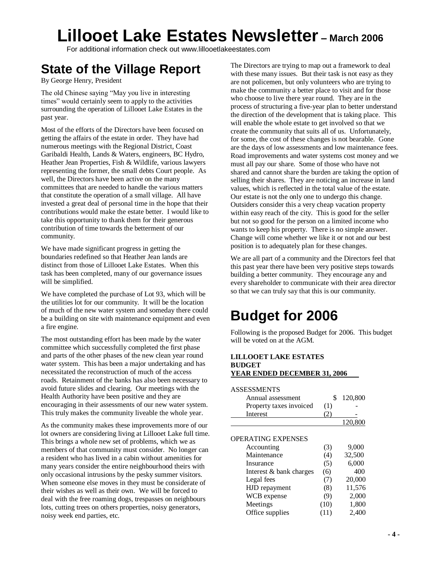For additional information check out www.lillooetlakeestates.com

## **State of the Village Report**

By George Henry, President

The old Chinese saying "May you live in interesting times" would certainly seem to apply to the activities surrounding the operation of Lillooet Lake Estates in the past year.

Most of the efforts of the Directors have been focused on getting the affairs of the estate in order. They have had numerous meetings with the Regional District, Coast Garibaldi Health, Lands & Waters, engineers, BC Hydro, Heather Jean Properties, Fish & Wildlife, various lawyers representing the former, the small debts Court people. As well, the Directors have been active on the many committees that are needed to handle the various matters that constitute the operation of a small village. All have invested a great deal of personal time in the hope that their contributions would make the estate better. I would like to take this opportunity to thank them for their generous contribution of time towards the betterment of our community.

We have made significant progress in getting the boundaries redefined so that Heather Jean lands are distinct from those of Lillooet Lake Estates. When this task has been completed, many of our governance issues will be simplified.

We have completed the purchase of Lot 93, which will be the utilities lot for our community. It will be the location of much of the new water system and someday there could be a building on site with maintenance equipment and even a fire engine.

The most outstanding effort has been made by the water committee which successfully completed the first phase and parts of the other phases of the new clean year round water system. This has been a major undertaking and has necessitated the reconstruction of much of the access roads. Retainment of the banks has also been necessary to avoid future slides and clearing. Our meetings with the Health Authority have been positive and they are encouraging in their assessments of our new water system. This truly makes the community liveable the whole year.

As the community makes these improvements more of our lot owners are considering living at Lillooet Lake full time. This brings a whole new set of problems, which we as members of that community must consider. No longer can a resident who has lived in a cabin without amenities for many years consider the entire neighbourhood theirs with only occasional intrusions by the pesky summer visitors. When someone else moves in they must be considerate of their wishes as well as their own. We will be forced to deal with the free roaming dogs, trespasses on neighbours lots, cutting trees on others properties, noisy generators, noisy week end parties, etc.

The Directors are trying to map out a framework to deal with these many issues. But their task is not easy as they are not policemen, but only volunteers who are trying to make the community a better place to visit and for those who choose to live there year round. They are in the process of structuring a five-year plan to better understand the direction of the development that is taking place. This will enable the whole estate to get involved so that we create the community that suits all of us. Unfortunately, for some, the cost of these changes is not bearable. Gone are the days of low assessments and low maintenance fees. Road improvements and water systems cost money and we must all pay our share. Some of those who have not shared and cannot share the burden are taking the option of selling their shares. They are noticing an increase in land values, which is reflected in the total value of the estate. Our estate is not the only one to undergo this change. Outsiders consider this a very cheap vacation property within easy reach of the city. This is good for the seller but not so good for the person on a limited income who wants to keep his property. There is no simple answer. Change will come whether we like it or not and our best position is to adequately plan for these changes.

We are all part of a community and the Directors feel that this past year there have been very positive steps towards building a better community. They encourage any and every shareholder to communicate with their area director so that we can truly say that this is our community.

## **Budget for 2006**

Following is the proposed Budget for 2006. This budget will be voted on at the AGM.

#### **LILLOOET LAKE ESTATES BUDGET YEAR ENDED DECEMBER 31, 2006**

| <b>ASSESSMENTS</b>        |      |         |
|---------------------------|------|---------|
| Annual assessment         | \$   | 120,800 |
| Property taxes invoiced   | (1)  |         |
| Interest                  | 21   |         |
|                           |      | 120,800 |
|                           |      |         |
| <b>OPERATING EXPENSES</b> |      |         |
| Accounting                | (3)  | 9,000   |
| Maintenance               | (4)  | 32,500  |
| Insurance                 | (5)  | 6,000   |
| Interest & bank charges   | (6)  | 400     |
| Legal fees                | (7)  | 20,000  |
| HJD repayment             | (8)  | 11,576  |
| WCB expense               | (9)  | 2,000   |
| Meetings                  | (10) | 1,800   |
| Office supplies           | (11) | 2,400   |
|                           |      |         |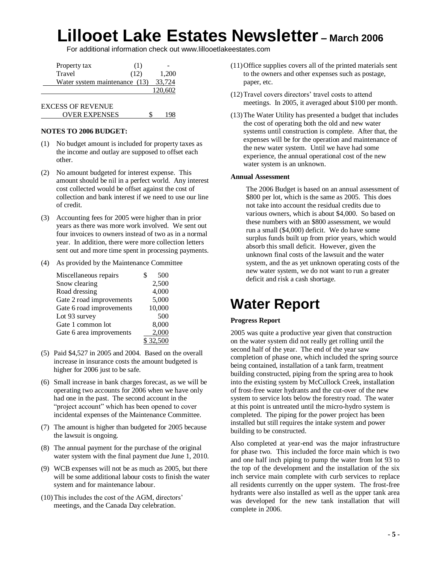For additional information check out www.lillooetlakeestates.com

| Property tax             | (1)                           |         |
|--------------------------|-------------------------------|---------|
| Travel                   | (12)                          | 1,200   |
|                          | Water system maintenance (13) |         |
|                          |                               | 120,602 |
| <b>EXCESS OF REVENUE</b> |                               |         |

#### **NOTES TO 2006 BUDGET:**

(1) No budget amount is included for property taxes as the income and outlay are supposed to offset each other.

OVER EXPENSES \$ 198

- (2) No amount budgeted for interest expense. This amount should be nil in a perfect world. Any interest cost collected would be offset against the cost of collection and bank interest if we need to use our line of credit.
- (3) Accounting fees for 2005 were higher than in prior years as there was more work involved. We sent out four invoices to owners instead of two as in a normal year. In addition, there were more collection letters sent out and more time spent in processing payments.
- (4) As provided by the Maintenance Committee

| Miscellaneous repairs    | 500    |
|--------------------------|--------|
| Snow clearing            | 2,500  |
| Road dressing            | 4,000  |
| Gate 2 road improvements | 5,000  |
| Gate 6 road improvements | 10,000 |
| Lot 93 survey            | 500    |
| Gate 1 common lot        | 8,000  |
| Gate 6 area improvements | 2,000  |
|                          | 32.500 |

- (5) Paid \$4,527 in 2005 and 2004. Based on the overall increase in insurance costs the amount budgeted is higher for 2006 just to be safe.
- (6) Small increase in bank charges forecast, as we will be operating two accounts for 2006 when we have only had one in the past. The second account in the "project account" which has been opened to cover incidental expenses of the Maintenance Committee.
- (7) The amount is higher than budgeted for 2005 because the lawsuit is ongoing.
- (8) The annual payment for the purchase of the original water system with the final payment due June 1, 2010.
- (9) WCB expenses will not be as much as 2005, but there will be some additional labour costs to finish the water system and for maintenance labour.
- (10) This includes the cost of the AGM, directors' meetings, and the Canada Day celebration.
- (11)Office supplies covers all of the printed materials sent to the owners and other expenses such as postage, paper, etc.
- (12) Travel covers directors' travel costs to attend meetings. In 2005, it averaged about \$100 per month.
- (13)The Water Utility has presented a budget that includes the cost of operating both the old and new water systems until construction is complete. After that, the expenses will be for the operation and maintenance of the new water system. Until we have had some experience, the annual operational cost of the new water system is an unknown.

#### **Annual Assessment**

The 2006 Budget is based on an annual assessment of \$800 per lot, which is the same as 2005. This does not take into account the residual credits due to various owners, which is about \$4,000. So based on these numbers with an \$800 assessment, we would run a small (\$4,000) deficit. We do have some surplus funds built up from prior years, which would absorb this small deficit. However, given the unknown final costs of the lawsuit and the water system, and the as yet unknown operating costs of the new water system, we do not want to run a greater deficit and risk a cash shortage.

### **Water Report**

### **Progress Report**

2005 was quite a productive year given that construction on the water system did not really get rolling until the second half of the year. The end of the year saw completion of phase one, which included the spring source being contained, installation of a tank farm, treatment building constructed, piping from the spring area to hook into the existing system by McCullock Creek, installation of frost-free water hydrants and the cut-over of the new system to service lots below the forestry road. The water at this point is untreated until the micro-hydro system is completed. The piping for the power project has been installed but still requires the intake system and power building to be constructed.

Also completed at year-end was the major infrastructure for phase two. This included the force main which is two and one half inch piping to pump the water from lot 93 to the top of the development and the installation of the six inch service main complete with curb services to replace all residents currently on the upper system. The frost-free hydrants were also installed as well as the upper tank area was developed for the new tank installation that will complete in 2006.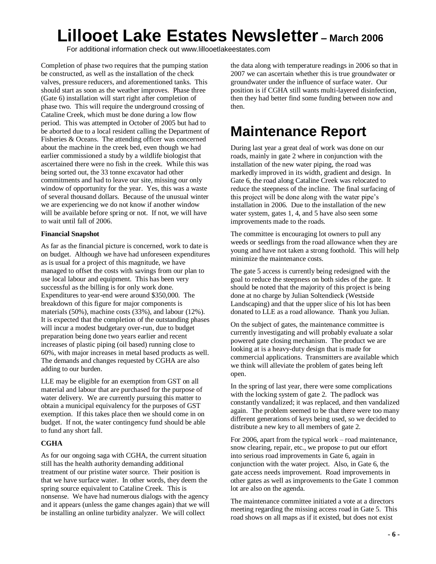For additional information check out www.lillooetlakeestates.com

Completion of phase two requires that the pumping station be constructed, as well as the installation of the check valves, pressure reducers, and aforementioned tanks. This should start as soon as the weather improves. Phase three (Gate 6) installation will start right after completion of phase two. This will require the underground crossing of Cataline Creek, which must be done during a low flow period. This was attempted in October of 2005 but had to be aborted due to a local resident calling the Department of Fisheries & Oceans. The attending officer was concerned about the machine in the creek bed, even though we had earlier commissioned a study by a wildlife biologist that ascertained there were no fish in the creek. While this was being sorted out, the 33 tonne excavator had other commitments and had to leave our site, missing our only window of opportunity for the year. Yes, this was a waste of several thousand dollars. Because of the unusual winter we are experiencing we do not know if another window will be available before spring or not. If not, we will have to wait until fall of 2006.

#### **Financial Snapshot**

As far as the financial picture is concerned, work to date is on budget. Although we have had unforeseen expenditures as is usual for a project of this magnitude, we have managed to offset the costs with savings from our plan to use local labour and equipment. This has been very successful as the billing is for only work done. Expenditures to year-end were around \$350,000. The breakdown of this figure for major components is materials (50%), machine costs (33%), and labour (12%). It is expected that the completion of the outstanding phases will incur a modest budgetary over-run, due to budget preparation being done two years earlier and recent increases of plastic piping (oil based) running close to 60%, with major increases in metal based products as well. The demands and changes requested by CGHA are also adding to our burden.

LLE may be eligible for an exemption from GST on all material and labour that are purchased for the purpose of water delivery. We are currently pursuing this matter to obtain a municipal equivalency for the purposes of GST exemption. If this takes place then we should come in on budget. If not, the water contingency fund should be able to fund any short fall.

### **CGHA**

As for our ongoing saga with CGHA, the current situation still has the health authority demanding additional treatment of our pristine water source. Their position is that we have surface water. In other words, they deem the spring source equivalent to Cataline Creek. This is nonsense. We have had numerous dialogs with the agency and it appears (unless the game changes again) that we will be installing an online turbidity analyzer. We will collect

the data along with temperature readings in 2006 so that in 2007 we can ascertain whether this is true groundwater or groundwater under the influence of surface water. Our position is if CGHA still wants multi-layered disinfection, then they had better find some funding between now and then.

## **Maintenance Report**

During last year a great deal of work was done on our roads, mainly in gate 2 where in conjunction with the installation of the new water piping, the road was markedly improved in its width, gradient and design. In Gate 6, the road along Cataline Creek was relocated to reduce the steepness of the incline. The final surfacing of this project will be done along with the water pipe's installation in 2006. Due to the installation of the new water system, gates 1, 4, and 5 have also seen some improvements made to the roads.

The committee is encouraging lot owners to pull any weeds or seedlings from the road allowance when they are young and have not taken a strong foothold. This will help minimize the maintenance costs.

The gate 5 access is currently being redesigned with the goal to reduce the steepness on both sides of the gate. It should be noted that the majority of this project is being done at no charge by Julian Soltendieck (Westside Landscaping) and that the upper slice of his lot has been donated to LLE as a road allowance. Thank you Julian.

On the subject of gates, the maintenance committee is currently investigating and will probably evaluate a solar powered gate closing mechanism. The product we are looking at is a heavy-duty design that is made for commercial applications. Transmitters are available which we think will alleviate the problem of gates being left open.

In the spring of last year, there were some complications with the locking system of gate 2. The padlock was constantly vandalized; it was replaced, and then vandalized again. The problem seemed to be that there were too many different generations of keys being used, so we decided to distribute a new key to all members of gate 2.

For 2006, apart from the typical work – road maintenance, snow clearing, repair, etc., we propose to put our effort into serious road improvements in Gate 6, again in conjunction with the water project. Also, in Gate 6, the gate access needs improvement. Road improvements in other gates as well as improvements to the Gate 1 common lot are also on the agenda.

The maintenance committee initiated a vote at a directors meeting regarding the missing access road in Gate 5. This road shows on all maps as if it existed, but does not exist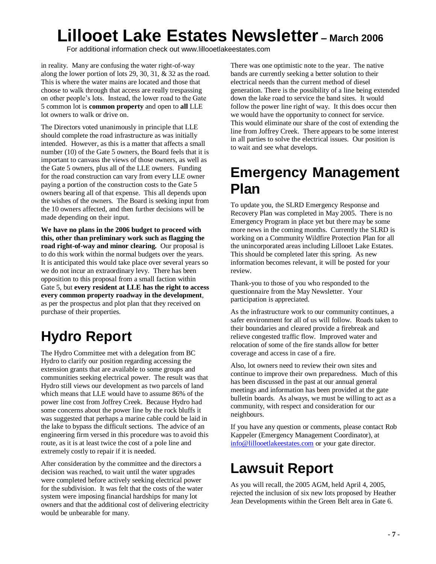For additional information check out www.lillooetlakeestates.com

in reality. Many are confusing the water right-of-way along the lower portion of lots 29, 30, 31, & 32 as the road. This is where the water mains are located and those that choose to walk through that access are really trespassing on other people's lots. Instead, the lower road to the Gate 5 common lot is **common property** and open to **all** LLE lot owners to walk or drive on.

The Directors voted unanimously in principle that LLE should complete the road infrastructure as was initially intended. However, as this is a matter that affects a small number (10) of the Gate 5 owners, the Board feels that it is important to canvass the views of those owners, as well as the Gate 5 owners, plus all of the LLE owners. Funding for the road construction can vary from every LLE owner paying a portion of the construction costs to the Gate 5 owners bearing all of that expense. This all depends upon the wishes of the owners. The Board is seeking input from the 10 owners affected, and then further decisions will be made depending on their input.

**We have no plans in the 2006 budget to proceed with this, other than preliminary work such as flagging the road right-of-way and minor clearing.** Our proposal is to do this work within the normal budgets over the years. It is anticipated this would take place over several years so we do not incur an extraordinary levy. There has been opposition to this proposal from a small faction within Gate 5, but **every resident at LLE has the right to access every common property roadway in the development**, as per the prospectus and plot plan that they received on purchase of their properties.

## **Hydro Report**

The Hydro Committee met with a delegation from BC Hydro to clarify our position regarding accessing the extension grants that are available to some groups and communities seeking electrical power. The result was that Hydro still views our development as two parcels of land which means that LLE would have to assume 86% of the power line cost from Joffrey Creek. Because Hydro had some concerns about the power line by the rock bluffs it was suggested that perhaps a marine cable could be laid in the lake to bypass the difficult sections. The advice of an engineering firm versed in this procedure was to avoid this route, as it is at least twice the cost of a pole line and extremely costly to repair if it is needed.

After consideration by the committee and the directors a decision was reached, to wait until the water upgrades were completed before actively seeking electrical power for the subdivision. It was felt that the costs of the water system were imposing financial hardships for many lot owners and that the additional cost of delivering electricity would be unbearable for many.

There was one optimistic note to the year. The native bands are currently seeking a better solution to their electrical needs than the current method of diesel generation. There is the possibility of a line being extended down the lake road to service the band sites. It would follow the power line right of way. It this does occur then we would have the opportunity to connect for service. This would eliminate our share of the cost of extending the line from Joffrey Creek. There appears to be some interest in all parties to solve the electrical issues. Our position is to wait and see what develops.

### **Emergency Management Plan**

To update you, the SLRD Emergency Response and Recovery Plan was completed in May 2005. There is no Emergency Program in place yet but there may be some more news in the coming months. Currently the SLRD is working on a Community Wildfire Protection Plan for all the unincorporated areas including Lillooet Lake Estates. This should be completed later this spring. As new information becomes relevant, it will be posted for your review.

Thank-you to those of you who responded to the questionnaire from the May Newsletter. Your participation is appreciated.

As the infrastructure work to our community continues, a safer environment for all of us will follow. Roads taken to their boundaries and cleared provide a firebreak and relieve congested traffic flow. Improved water and relocation of some of the fire stands allow for better coverage and access in case of a fire.

Also, lot owners need to review their own sites and continue to improve their own preparedness. Much of this has been discussed in the past at our annual general meetings and information has been provided at the gate bulletin boards. As always, we must be willing to act as a community, with respect and consideration for our neighbours.

If you have any question or comments, please contact Rob Kappeler (Emergency Management Coordinator), at info@lillooetlakeestates.com or your gate director.

## **Lawsuit Report**

As you will recall, the 2005 AGM, held April 4, 2005, rejected the inclusion of six new lots proposed by Heather Jean Developments within the Green Belt area in Gate 6.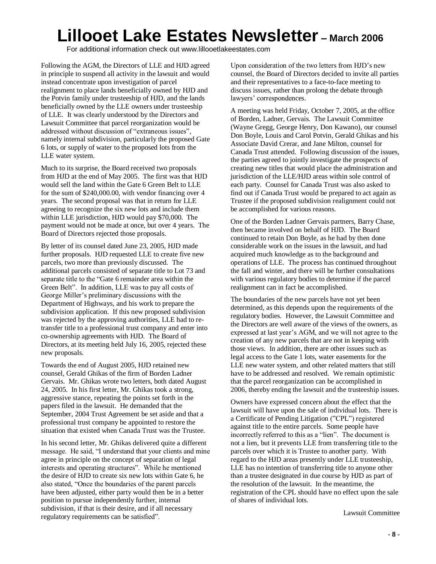For additional information check out www.lillooetlakeestates.com

Following the AGM, the Directors of LLE and HJD agreed in principle to suspend all activity in the lawsuit and would instead concentrate upon investigation of parcel realignment to place lands beneficially owned by HJD and the Potvin family under trusteeship of HJD, and the lands beneficially owned by the LLE owners under trusteeship of LLE. It was clearly understood by the Directors and Lawsuit Committee that parcel reorganization would be addressed without discussion of "extraneous issues", namely internal subdivision, particularly the proposed Gate 6 lots, or supply of water to the proposed lots from the LLE water system.

Much to its surprise, the Board received two proposals from HJD at the end of May 2005. The first was that HJD would sell the land within the Gate 6 Green Belt to LLE for the sum of \$240,000.00, with vendor financing over 4 years. The second proposal was that in return for LLE agreeing to recognize the six new lots and include them within LLE jurisdiction, HJD would pay \$70,000. The payment would not be made at once, but over 4 years. The Board of Directors rejected those proposals.

By letter of its counsel dated June 23, 2005, HJD made further proposals. HJD requested LLE to create five new parcels, two more than previously discussed. The additional parcels consisted of separate title to Lot 73 and separate title to the "Gate 6 remainder area within the Green Belt". In addition, LLE was to pay all costs of George Miller's preliminary discussions with the Department of Highways, and his work to prepare the subdivision application. If this new proposed subdivision was rejected by the approving authorities, LLE had to retransfer title to a professional trust company and enter into co-ownership agreements with HJD. The Board of Directors, at its meeting held July 16, 2005, rejected these new proposals.

Towards the end of August 2005, HJD retained new counsel, Gerald Ghikas of the firm of Borden Ladner Gervais. Mr. Ghikas wrote two letters, both dated August 24, 2005. In his first letter, Mr. Ghikas took a strong, aggressive stance, repeating the points set forth in the papers filed in the lawsuit. He demanded that the September, 2004 Trust Agreement be set aside and that a professional trust company be appointed to restore the situation that existed when Canada Trust was the Trustee.

In his second letter, Mr. Ghikas delivered quite a different message. He said, "I understand that your clients and mine agree in principle on the concept of separation of legal interests and operating structures". While he mentioned the desire of HJD to create six new lots within Gate 6, he also stated, "Once the boundaries of the parent parcels" have been adjusted, either party would then be in a better position to pursue independently further, internal subdivision, if that is their desire, and if all necessary regulatory requirements can be satisfied".

Upon consideration of the two letters from HJD's new counsel, the Board of Directors decided to invite all parties and their representatives to a face-to-face meeting to discuss issues, rather than prolong the debate through lawyers' correspondences.

A meeting was held Friday, October 7, 2005, at the office of Borden, Ladner, Gervais. The Lawsuit Committee (Wayne Gregg, George Henry, Don Kawano), our counsel Don Boyle, Louis and Carol Potvin, Gerald Ghikas and his Associate David Crerar, and Jane Milton, counsel for Canada Trust attended. Following discussion of the issues, the parties agreed to jointly investigate the prospects of creating new titles that would place the administration and jurisdiction of the LLE/HJD areas within sole control of each party. Counsel for Canada Trust was also asked to find out if Canada Trust would be prepared to act again as Trustee if the proposed subdivision realignment could not be accomplished for various reasons.

One of the Borden Ladner Gervais partners, Barry Chase, then became involved on behalf of HJD. The Board continued to retain Don Boyle, as he had by then done considerable work on the issues in the lawsuit, and had acquired much knowledge as to the background and operations of LLE. The process has continued throughout the fall and winter, and there will be further consultations with various regulatory bodies to determine if the parcel realignment can in fact be accomplished.

The boundaries of the new parcels have not yet been determined, as this depends upon the requirements of the regulatory bodies. However, the Lawsuit Committee and the Directors are well aware of the views of the owners, as expressed at last year's AGM, and we will not agree to the creation of any new parcels that are not in keeping with those views. In addition, there are other issues such as legal access to the Gate 1 lots, water easements for the LLE new water system, and other related matters that still have to be addressed and resolved. We remain optimistic that the parcel reorganization can be accomplished in 2006, thereby ending the lawsuit and the trusteeship issues.

Owners have expressed concern about the effect that the lawsuit will have upon the sale of individual lots. There is a Certificate of Pending Litigation ("CPL") registered against title to the entire parcels. Some people have incorrectly referred to this as a "lien". The document is not a lien, but it prevents LLE from transferring title to the parcels over which it is Trustee to another party. With regard to the HJD areas presently under LLE trusteeship, LLE has no intention of transferring title to anyone other than a trustee designated in due course by HJD as part of the resolution of the lawsuit. In the meantime, the registration of the CPL should have no effect upon the sale of shares of individual lots.

Lawsuit Committee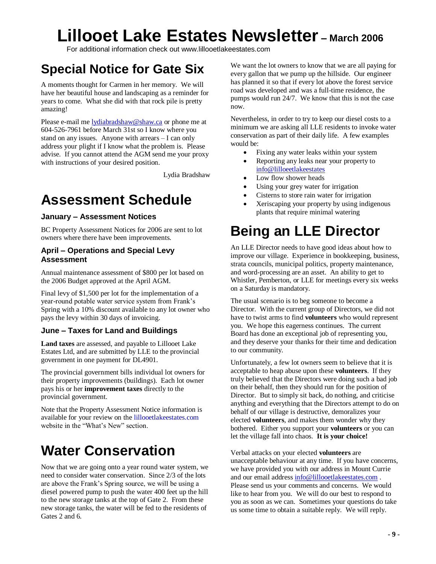For additional information check out www.lillooetlakeestates.com

### **Special Notice for Gate Six**

A moments thought for Carmen in her memory. We will have her beautiful house and landscaping as a reminder for years to come. What she did with that rock pile is pretty amazing!

Please e-mail me lydiabradshaw@shaw.ca or phone me at 604-526-7961 before March 31st so I know where you stand on any issues. Anyone with arrears –I can only address your plight if I know what the problem is. Please advise. If you cannot attend the AGM send me your proxy with instructions of your desired position.

Lydia Bradshaw

## **Assessment Schedule**

### **January –Assessment Notices**

BC Property Assessment Notices for 2006 are sent to lot owners where there have been improvements.

### **April –Operations and Special Levy Assessment**

Annual maintenance assessment of \$800 per lot based on the 2006 Budget approved at the April AGM.

Final levy of \$1,500 per lot for the implementation of a year-round potable water service system from Frank's Spring with a 10% discount available to any lot owner who pays the levy within 30 days of invoicing.

### **June –Taxes for Land and Buildings**

**Land taxes** are assessed, and payable to Lillooet Lake Estates Ltd, and are submitted by LLE to the provincial government in one payment for DL4901.

The provincial government bills individual lot owners for their property improvements (buildings). Each lot owner pays his or her **improvement taxes** directly to the provincial government.

Note that the Property Assessment Notice information is available for your review on the lillooetlakeestates.com website in the "What's New" section.

## **Water Conservation**

Now that we are going onto a year round water system, we need to consider water conservation. Since 2/3 of the lots are above the Frank's Spring source, we will be using a diesel powered pump to push the water 400 feet up the hill to the new storage tanks at the top of Gate 2. From these new storage tanks, the water will be fed to the residents of Gates 2 and 6.

We want the lot owners to know that we are all paying for every gallon that we pump up the hillside. Our engineer has planned it so that if every lot above the forest service road was developed and was a full-time residence, the pumps would run 24/7. We know that this is not the case now.

Nevertheless, in order to try to keep our diesel costs to a minimum we are asking all LLE residents to invoke water conservation as part of their daily life. A few examples would be:

- Fixing any water leaks within your system
- Reporting any leaks near your property to info@lilloeetlakeestates
- Low flow shower heads
- Using your grey water for irrigation
- Cisterns to store rain water for irrigation
- Xeriscaping your property by using indigenous plants that require minimal watering

## **Being an LLE Director**

An LLE Director needs to have good ideas about how to improve our village. Experience in bookkeeping, business, strata councils, municipal politics, property maintenance, and word-processing are an asset. An ability to get to Whistler, Pemberton, or LLE for meetings every six weeks on a Saturday is mandatory.

The usual scenario is to beg someone to become a Director. With the current group of Directors, we did not have to twist arms to find **volunteers** who would represent you. We hope this eagerness continues. The current Board has done an exceptional job of representing you, and they deserve your thanks for their time and dedication to our community.

Unfortunately, a few lot owners seem to believe that it is acceptable to heap abuse upon these **volunteers**. If they truly believed that the Directors were doing such a bad job on their behalf, then they should run for the position of Director. But to simply sit back, do nothing, and criticise anything and everything that the Directors attempt to do on behalf of our village is destructive, demoralizes your elected **volunteers**, and makes them wonder why they bothered. Either you support your **volunteers** or you can let the village fall into chaos. **It is your choice!**

Verbal attacks on your elected **volunteers** are unacceptable behaviour at any time. If you have concerns, we have provided you with our address in Mount Currie and our email address info@lillooetlakeestates.com . Please send us your comments and concerns. We would like to hear from you. We will do our best to respond to you as soon as we can. Sometimes your questions do take us some time to obtain a suitable reply. We will reply.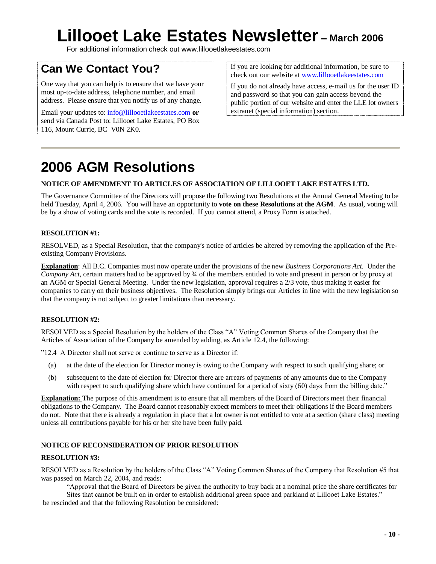For additional information check out www.lillooetlakeestates.com

### **Can We Contact You?**

One way that you can help is to ensure that we have your most up-to-date address, telephone number, and email address. Please ensure that you notify us of any change.

Email your updates to: info@lillooetlakeestates.com **or** send via Canada Post to: Lillooet Lake Estates, PO Box 116, Mount Currie, BC V0N 2K0.

If you are looking for additional information, be sure to check out our website at www.lillooetlakeestates.com

If you do not already have access, e-mail us for the user ID and password so that you can gain access beyond the public portion of our website and enter the LLE lot owners extranet (special information) section.

## **2006 AGM Resolutions**

#### **NOTICE OF AMENDMENT TO ARTICLES OF ASSOCIATION OF LILLOOET LAKE ESTATES LTD.**

The Governance Committee of the Directors will propose the following two Resolutions at the Annual General Meeting to be held Tuesday, April 4, 2006. You will have an opportunity to **vote on these Resolutions at the AGM**. As usual, voting will be by a show of voting cards and the vote is recorded. If you cannot attend, a Proxy Form is attached.

#### **RESOLUTION #1:**

RESOLVED, as a Special Resolution, that the company's notice of articles be altered by removing the application of the Preexisting Company Provisions.

**Explanation**: All B.C. Companies must now operate under the provisions of the new *Business Corporations Act*. Under the *Company Act*, certain matters had to be approved by  $\frac{3}{4}$  of the members entitled to vote and present in person or by proxy at an AGM or Special General Meeting. Under the new legislation, approval requires a 2/3 vote, thus making it easier for companies to carry on their business objectives. The Resolution simply brings our Articles in line with the new legislation so that the company is not subject to greater limitations than necessary.

#### **RESOLUTION #2:**

RESOLVED as a Special Resolution by the holders of the Class "A" Voting Common Shares of the Company that the Articles of Association of the Company be amended by adding, as Article 12.4, the following:

"12.4 A Director shall not serve or continue to serve as a Director if:

- (a) at the date of the election for Director money is owing to the Company with respect to such qualifying share; or
- (b) subsequent to the date of election for Director there are arrears of payments of any amounts due to the Company with respect to such qualifying share which have continued for a period of sixty  $(60)$  days from the billing date."

**Explanation:** The purpose of this amendment is to ensure that all members of the Board of Directors meet their financial obligations to the Company. The Board cannot reasonably expect members to meet their obligations if the Board members do not. Note that there is already a regulation in place that a lot owner is not entitled to vote at a section (share class) meeting unless all contributions payable for his or her site have been fully paid.

#### **NOTICE OF RECONSIDERATION OF PRIOR RESOLUTION**

#### **RESOLUTION #3:**

RESOLVED as a Resolution by the holders of the Class "A" Voting Common Shares of the Company that Resolution #5 that was passed on March 22, 2004, and reads:

"Approval that the Board of Directors be given the authority to buy back at a nominal price the share certificates for

Sites that cannot be built on in order to establish additional green space and parkland at Lillooet Lake Estates." be rescinded and that the following Resolution be considered: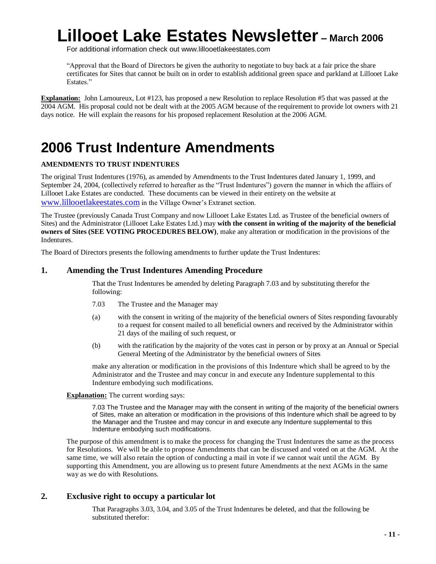For additional information check out www.lillooetlakeestates.com

"Approval that the Board of Directors be given the authority to negotiate to buy back at a fair price the share certificates for Sites that cannot be built on in order to establish additional green space and parkland at Lillooet Lake Estates<sup>"</sup>

**Explanation:** John Lamoureux, Lot #123, has proposed a new Resolution to replace Resolution #5 that was passed at the 2004 AGM. His proposal could not be dealt with at the 2005 AGM because of the requirement to provide lot owners with 21 days notice. He will explain the reasons for his proposed replacement Resolution at the 2006 AGM.

## **2006 Trust Indenture Amendments**

### **AMENDMENTS TO TRUST INDENTURES**

The original Trust Indentures (1976), as amended by Amendments to the Trust Indentures dated January 1, 1999, and September 24, 2004, (collectively referred to hereafter as the "Trust Indentures") govern the manner in which the affairs of Lillooet Lake Estates are conducted. These documents can be viewed in their entirety on the website at www.lillooetlakeestates.com in the Village Owner's Extranet section.

The Trustee (previously Canada Trust Company and now Lillooet Lake Estates Ltd. as Trustee of the beneficial owners of Sites) and the Administrator (Lillooet Lake Estates Ltd.) may **with the consent in writing of the majority of the beneficial owners of Sites (SEE VOTING PROCEDURES BELOW)**, make any alteration or modification in the provisions of the Indentures.

The Board of Directors presents the following amendments to further update the Trust Indentures:

### **1. Amending the Trust Indentures Amending Procedure**

That the Trust Indentures be amended by deleting Paragraph 7.03 and by substituting therefor the following:

- 7.03 The Trustee and the Manager may
- (a) with the consent in writing of the majority of the beneficial owners of Sites responding favourably to a request for consent mailed to all beneficial owners and received by the Administrator within 21 days of the mailing of such request, or
- (b) with the ratification by the majority of the votes cast in person or by proxy at an Annual or Special General Meeting of the Administrator by the beneficial owners of Sites

make any alteration or modification in the provisions of this Indenture which shall be agreed to by the Administrator and the Trustee and may concur in and execute any Indenture supplemental to this Indenture embodying such modifications.

### **Explanation:** The current wording says:

7.03 The Trustee and the Manager may with the consent in writing of the majority of the beneficial owners of Sites, make an alteration or modification in the provisions of this Indenture which shall be agreed to by the Manager and the Trustee and may concur in and execute any Indenture supplemental to this Indenture embodying such modifications.

The purpose of this amendment is to make the process for changing the Trust Indentures the same as the process for Resolutions. We will be able to propose Amendments that can be discussed and voted on at the AGM. At the same time, we will also retain the option of conducting a mail in vote if we cannot wait until the AGM. By supporting this Amendment, you are allowing us to present future Amendments at the next AGMs in the same way as we do with Resolutions.

### **2. Exclusive right to occupy a particular lot**

That Paragraphs 3.03, 3.04, and 3.05 of the Trust Indentures be deleted, and that the following be substituted therefor: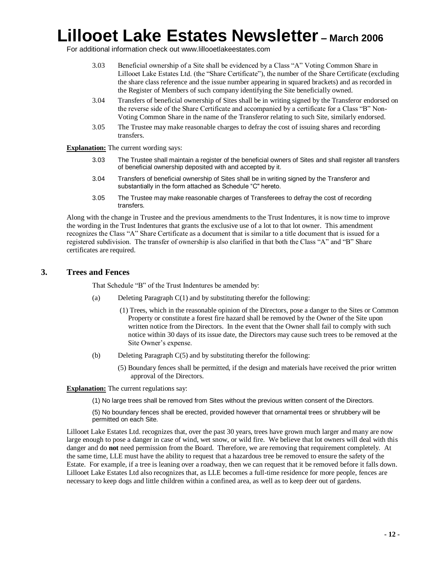For additional information check out www.lillooetlakeestates.com

- 3.03 Beneficial ownership of a Site shall be evidenced by a Class "A" Voting Common Share in Lillooet Lake Estates Ltd. (the "Share Certificate"), the number of the Share Certificate (excluding the share class reference and the issue number appearing in squared brackets) and as recorded in the Register of Members of such company identifying the Site beneficially owned.
- 3.04 Transfers of beneficial ownership of Sites shall be in writing signed by the Transferor endorsed on the reverse side of the Share Certificate and accompanied by a certificate for a Class "B" Non-Voting Common Share in the name of the Transferor relating to such Site, similarly endorsed.
- 3.05 The Trustee may make reasonable charges to defray the cost of issuing shares and recording transfers.

**Explanation:** The current wording says:

- 3.03 The Trustee shall maintain a register of the beneficial owners of Sites and shall register all transfers of beneficial ownership deposited with and accepted by it.
- 3.04 Transfers of beneficial ownership of Sites shall be in writing signed by the Transferor and substantially in the form attached as Schedule "C" hereto.
- 3.05 The Trustee may make reasonable charges of Transferees to defray the cost of recording transfers.

Along with the change in Trustee and the previous amendments to the Trust Indentures, it is now time to improve the wording in the Trust Indentures that grants the exclusive use of a lot to that lot owner. This amendment recognizes the Class "A" Share Certificate as a document that is similar to a title document that is issued for a registered subdivision. The transfer of ownership is also clarified in that both the Class "A" and "B" Share certificates are required.

#### **3. Trees and Fences**

That Schedule "B" of the Trust Indentures be amended by:

- (a) Deleting Paragraph C(1) and by substituting therefor the following:
	- (1) Trees, which in the reasonable opinion of the Directors, pose a danger to the Sites or Common Property or constitute a forest fire hazard shall be removed by the Owner of the Site upon written notice from the Directors. In the event that the Owner shall fail to comply with such notice within 30 days of its issue date, the Directors may cause such trees to be removed at the Site Owner's expense.
- (b) Deleting Paragraph C(5) and by substituting therefor the following:
	- (5) Boundary fences shall be permitted, if the design and materials have received the prior written approval of the Directors.

**Explanation:** The current regulations say:

(1) No large trees shall be removed from Sites without the previous written consent of the Directors.

(5) No boundary fences shall be erected, provided however that ornamental trees or shrubbery will be permitted on each Site.

Lillooet Lake Estates Ltd. recognizes that, over the past 30 years, trees have grown much larger and many are now large enough to pose a danger in case of wind, wet snow, or wild fire. We believe that lot owners will deal with this danger and do **not** need permission from the Board. Therefore, we are removing that requirement completely. At the same time, LLE must have the ability to request that a hazardous tree be removed to ensure the safety of the Estate. For example, if a tree is leaning over a roadway, then we can request that it be removed before it falls down. Lillooet Lake Estates Ltd also recognizes that, as LLE becomes a full-time residence for more people, fences are necessary to keep dogs and little children within a confined area, as well as to keep deer out of gardens.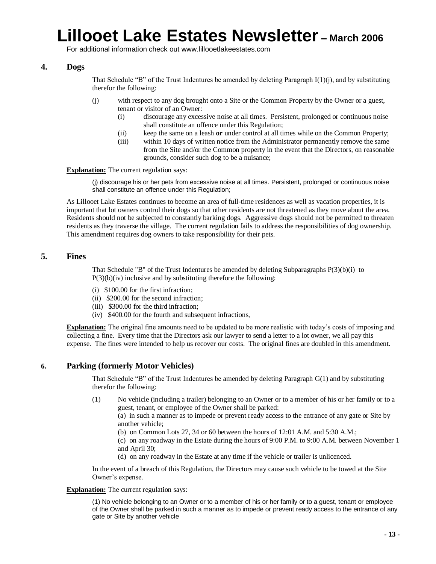For additional information check out www.lillooetlakeestates.com

### **4. Dogs**

That Schedule "B" of the Trust Indentures be amended by deleting Paragraph  $I(1)(i)$ , and by substituting therefor the following:

- (j) with respect to any dog brought onto a Site or the Common Property by the Owner or a guest, tenant or visitor of an Owner:
	- (i) discourage any excessive noise at all times. Persistent, prolonged or continuous noise shall constitute an offence under this Regulation;
	- (ii) keep the same on a leash **or** under control at all times while on the Common Property;
	- (iii) within 10 days of written notice from the Administrator permanently remove the same from the Site and/or the Common property in the event that the Directors, on reasonable grounds, consider such dog to be a nuisance;

**Explanation:** The current regulation says:

(j) discourage his or her pets from excessive noise at all times. Persistent, prolonged or continuous noise shall constitute an offence under this Regulation;

As Lillooet Lake Estates continues to become an area of full-time residences as well as vacation properties, it is important that lot owners control their dogs so that other residents are not threatened as they move about the area. Residents should not be subjected to constantly barking dogs. Aggressive dogs should not be permitted to threaten residents as they traverse the village. The current regulation fails to address the responsibilities of dog ownership. This amendment requires dog owners to take responsibility for their pets.

### **5. Fines**

That Schedule "B" of the Trust Indentures be amended by deleting Subparagraphs P(3)(b)(i) to  $P(3)(b)(iv)$  inclusive and by substituting therefore the following:

- (i) \$100.00 for the first infraction;
- (ii) \$200.00 for the second infraction;
- (iii) \$300.00 for the third infraction;
- (iv) \$400.00 for the fourth and subsequent infractions,

**Explanation:** The original fine amounts need to be updated to be more realistic with today's costs of imposing and collecting a fine. Every time that the Directors ask our lawyer to send a letter to a lot owner, we all pay this expense. The fines were intended to help us recover our costs. The original fines are doubled in this amendment.

### **6. Parking (formerly Motor Vehicles)**

That Schedule "B" of the Trust Indentures be amended by deleting Paragraph  $G(1)$  and by substituting therefor the following:

(1) No vehicle (including a trailer) belonging to an Owner or to a member of his or her family or to a guest, tenant, or employee of the Owner shall be parked:

(a) in such a manner as to impede or prevent ready access to the entrance of any gate or Site by another vehicle;

(b) on Common Lots 27, 34 or 60 between the hours of 12:01 A.M. and 5:30 A.M.;

(c) on any roadway in the Estate during the hours of 9:00 P.M. to 9:00 A.M. between November 1 and April 30;

(d) on any roadway in the Estate at any time if the vehicle or trailer is unlicenced.

In the event of a breach of this Regulation, the Directors may cause such vehicle to be towed at the Site Owner's expense.

#### **Explanation:** The current regulation says:

(1) No vehicle belonging to an Owner or to a member of his or her family or to a guest, tenant or employee of the Owner shall be parked in such a manner as to impede or prevent ready access to the entrance of any gate or Site by another vehicle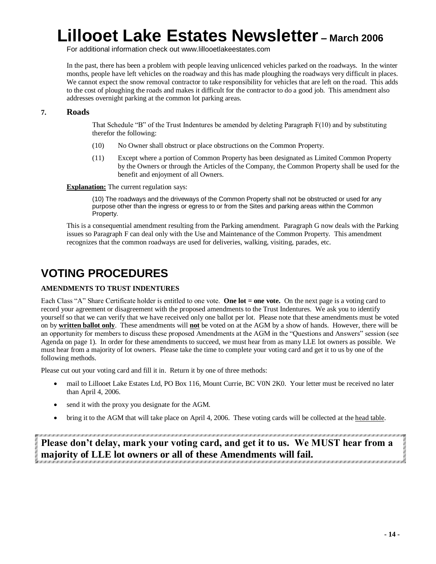For additional information check out www.lillooetlakeestates.com

In the past, there has been a problem with people leaving unlicenced vehicles parked on the roadways. In the winter months, people have left vehicles on the roadway and this has made ploughing the roadways very difficult in places. We cannot expect the snow removal contractor to take responsibility for vehicles that are left on the road. This adds to the cost of ploughing the roads and makes it difficult for the contractor to do a good job. This amendment also addresses overnight parking at the common lot parking areas.

#### **7. Roads**

That Schedule "B" of the Trust Indentures be amended by deleting Paragraph  $F(10)$  and by substituting therefor the following:

- (10) No Owner shall obstruct or place obstructions on the Common Property.
- (11) Except where a portion of Common Property has been designated as Limited Common Property by the Owners or through the Articles of the Company, the Common Property shall be used for the benefit and enjoyment of all Owners.

**Explanation:** The current regulation says:

(10) The roadways and the driveways of the Common Property shall not be obstructed or used for any purpose other than the ingress or egress to or from the Sites and parking areas within the Common Property.

This is a consequential amendment resulting from the Parking amendment. Paragraph G now deals with the Parking issues so Paragraph F can deal only with the Use and Maintenance of the Common Property. This amendment recognizes that the common roadways are used for deliveries, walking, visiting, parades, etc.

### **VOTING PROCEDURES**

#### **AMENDMENTS TO TRUST INDENTURES**

Each Class "A" Share Certificate holder is entitled to one vote. **One lot = one vote.** On the next page is a voting card to record your agreement or disagreement with the proposed amendments to the Trust Indentures. We ask you to identify yourself so that we can verify that we have received only one ballot per lot. Please note that these amendments must be voted on by **written ballot only**. These amendments will **not** be voted on at the AGM by a show of hands. However, there will be an opportunity for members to discuss these proposed Amendments at the AGM in the "Questions and Answers" session (see Agenda on page 1). In order for these amendments to succeed, we must hear from as many LLE lot owners as possible. We must hear from a majority of lot owners. Please take the time to complete your voting card and get it to us by one of the following methods.

Please cut out your voting card and fill it in. Return it by one of three methods:

- mail to Lillooet Lake Estates Ltd, PO Box 116, Mount Currie, BC V0N 2K0. Your letter must be received no later than April 4, 2006.
- send it with the proxy you designate for the AGM.
- bring it to the AGM that will take place on April 4, 2006. These voting cards will be collected at the head table.

**Please don't delay, mark your voting card, and get it to us. We MUST hear from a majority of LLE lot owners or all of these Amendments will fail.**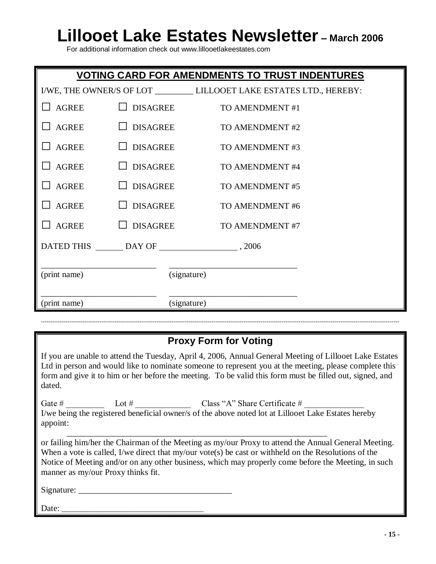For additional information check out www.lillooetlakeestates.com

| <b>VOTING CARD FOR AMENDMENTS TO TRUST INDENTURES</b> |                 |                                                                         |  |
|-------------------------------------------------------|-----------------|-------------------------------------------------------------------------|--|
|                                                       |                 | I/WE, THE OWNER/S OF LOT __________ LILLOOET LAKE ESTATES LTD., HEREBY: |  |
| <b>AGREE</b>                                          | <b>DISAGREE</b> | TO AMENDMENT #1                                                         |  |
| <b>AGREE</b>                                          | <b>DISAGREE</b> | TO AMENDMENT #2                                                         |  |
| <b>AGREE</b>                                          | <b>DISAGREE</b> | TO AMENDMENT #3                                                         |  |
| <b>AGREE</b>                                          | <b>DISAGREE</b> | TO AMENDMENT #4                                                         |  |
| <b>AGREE</b>                                          | <b>DISAGREE</b> | TO AMENDMENT #5                                                         |  |
| <b>AGREE</b>                                          | <b>DISAGREE</b> | TO AMENDMENT #6                                                         |  |
| <b>AGREE</b>                                          | <b>DISAGREE</b> | TO AMENDMENT #7                                                         |  |
|                                                       |                 | DATED THIS DAY OF 3006                                                  |  |
|                                                       |                 |                                                                         |  |
| (print name)                                          |                 | (signature)                                                             |  |
|                                                       |                 |                                                                         |  |
| (print name)                                          |                 | (signature)                                                             |  |

### **Proxy Form for Voting**

---------------------------------------------------------------------------------------------------------------------------------------------------------------------------------------------

If you are unable to attend the Tuesday, April 4, 2006, Annual General Meeting of Lillooet Lake Estates Ltd in person and would like to nominate someone to represent you at the meeting, please complete this form and give it to him or her before the meeting. To be valid this form must be filled out, signed, and dated.

Gate#\_\_\_\_\_\_\_\_\_ Lot#\_\_\_\_\_\_\_\_\_\_\_\_\_ Class"A"ShareCertificate#\_\_\_\_\_\_\_\_\_\_\_\_\_\_ I/we being the registered beneficial owner/s of the above noted lot at Lillooet Lake Estates hereby appoint: \_\_\_\_\_\_\_\_\_\_\_\_\_\_\_\_\_\_\_\_\_\_\_\_\_\_\_\_\_\_\_\_\_\_\_\_\_\_\_\_\_\_\_\_\_\_\_\_\_\_\_\_\_\_\_\_\_\_\_\_\_

or failing him/her the Chairman of the Meeting as my/our Proxy to attend the Annual General Meeting. When a vote is called, I/we direct that my/our vote(s) be cast or withheld on the Resolutions of the Notice of Meeting and/or on any other business, which may properly come before the Meeting, in such manner as my/our Proxy thinks fit.

Signature: \_\_\_\_\_\_\_\_\_\_\_\_\_\_\_\_\_\_\_\_\_\_\_\_\_\_\_\_\_\_\_\_\_\_\_\_

Date: